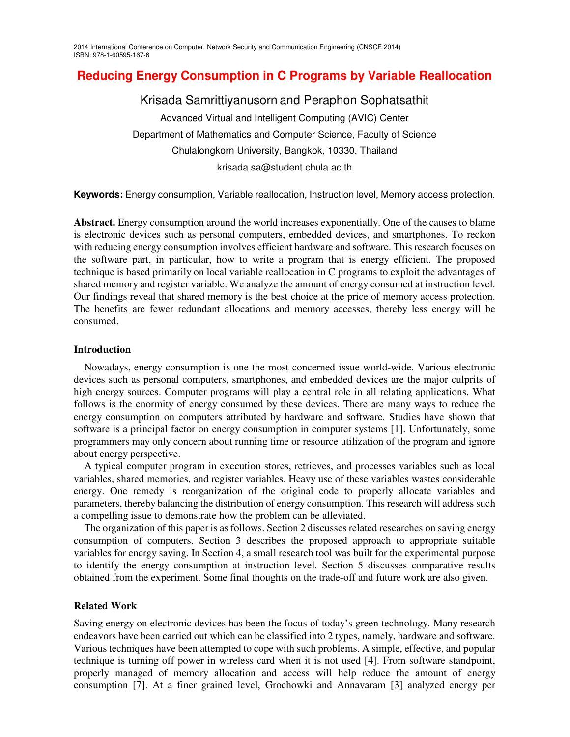# **Reducing Energy Consumption in C Programs by Variable Reallocation**

Krisada Samrittiyanusorn and Peraphon Sophatsathit Advanced Virtual and Intelligent Computing (AVIC) Center Department of Mathematics and Computer Science, Faculty of Science Chulalongkorn University, Bangkok, 10330, Thailand krisada.sa@student.chula.ac.th

**Keywords:** Energy consumption, Variable reallocation, Instruction level, Memory access protection.

**Abstract.** Energy consumption around the world increases exponentially. One of the causes to blame is electronic devices such as personal computers, embedded devices, and smartphones. To reckon with reducing energy consumption involves efficient hardware and software. This research focuses on the software part, in particular, how to write a program that is energy efficient. The proposed technique is based primarily on local variable reallocation in C programs to exploit the advantages of shared memory and register variable. We analyze the amount of energy consumed at instruction level. Our findings reveal that shared memory is the best choice at the price of memory access protection. The benefits are fewer redundant allocations and memory accesses, thereby less energy will be consumed.

# **Introduction**

Nowadays, energy consumption is one the most concerned issue world-wide. Various electronic devices such as personal computers, smartphones, and embedded devices are the major culprits of high energy sources. Computer programs will play a central role in all relating applications. What follows is the enormity of energy consumed by these devices. There are many ways to reduce the energy consumption on computers attributed by hardware and software. Studies have shown that software is a principal factor on energy consumption in computer systems [1]. Unfortunately, some programmers may only concern about running time or resource utilization of the program and ignore about energy perspective.

A typical computer program in execution stores, retrieves, and processes variables such as local variables, shared memories, and register variables. Heavy use of these variables wastes considerable energy. One remedy is reorganization of the original code to properly allocate variables and parameters, thereby balancing the distribution of energy consumption. This research will address such a compelling issue to demonstrate how the problem can be alleviated.

The organization of this paper is as follows. Section 2 discusses related researches on saving energy consumption of computers. Section 3 describes the proposed approach to appropriate suitable variables for energy saving. In Section 4, a small research tool was built for the experimental purpose to identify the energy consumption at instruction level. Section 5 discusses comparative results obtained from the experiment. Some final thoughts on the trade-off and future work are also given.

# **Related Work**

Saving energy on electronic devices has been the focus of today's green technology. Many research endeavors have been carried out which can be classified into 2 types, namely, hardware and software. Various techniques have been attempted to cope with such problems. A simple, effective, and popular technique is turning off power in wireless card when it is not used [4]. From software standpoint, properly managed of memory allocation and access will help reduce the amount of energy consumption [7]. At a finer grained level, Grochowki and Annavaram [3] analyzed energy per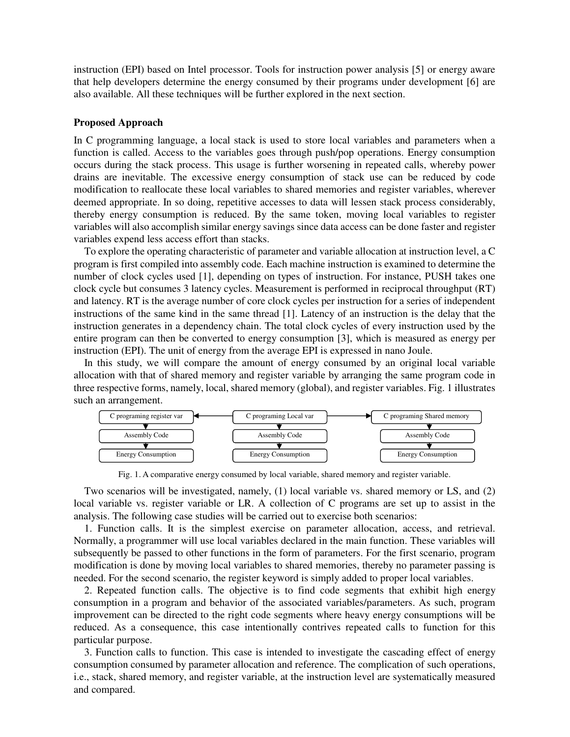instruction (EPI) based on Intel processor. Tools for instruction power analysis [5] or energy aware that help developers determine the energy consumed by their programs under development [6] are also available. All these techniques will be further explored in the next section.

#### **Proposed Approach**

In C programming language, a local stack is used to store local variables and parameters when a function is called. Access to the variables goes through push/pop operations. Energy consumption occurs during the stack process. This usage is further worsening in repeated calls, whereby power drains are inevitable. The excessive energy consumption of stack use can be reduced by code modification to reallocate these local variables to shared memories and register variables, wherever deemed appropriate. In so doing, repetitive accesses to data will lessen stack process considerably, thereby energy consumption is reduced. By the same token, moving local variables to register variables will also accomplish similar energy savings since data access can be done faster and register variables expend less access effort than stacks.

To explore the operating characteristic of parameter and variable allocation at instruction level, a C program is first compiled into assembly code. Each machine instruction is examined to determine the number of clock cycles used [1], depending on types of instruction. For instance, PUSH takes one clock cycle but consumes 3 latency cycles. Measurement is performed in reciprocal throughput (RT) and latency. RT is the average number of core clock cycles per instruction for a series of independent instructions of the same kind in the same thread [1]. Latency of an instruction is the delay that the instruction generates in a dependency chain. The total clock cycles of every instruction used by the entire program can then be converted to energy consumption [3], which is measured as energy per instruction (EPI). The unit of energy from the average EPI is expressed in nano Joule.

In this study, we will compare the amount of energy consumed by an original local variable allocation with that of shared memory and register variable by arranging the same program code in three respective forms, namely, local, shared memory (global), and register variables. Fig. 1 illustrates such an arrangement.



Fig. 1. A comparative energy consumed by local variable, shared memory and register variable.

Two scenarios will be investigated, namely, (1) local variable vs. shared memory or LS, and (2) local variable vs. register variable or LR. A collection of C programs are set up to assist in the analysis. The following case studies will be carried out to exercise both scenarios:

1. Function calls. It is the simplest exercise on parameter allocation, access, and retrieval. Normally, a programmer will use local variables declared in the main function. These variables will subsequently be passed to other functions in the form of parameters. For the first scenario, program modification is done by moving local variables to shared memories, thereby no parameter passing is needed. For the second scenario, the register keyword is simply added to proper local variables.

2. Repeated function calls. The objective is to find code segments that exhibit high energy consumption in a program and behavior of the associated variables/parameters. As such, program improvement can be directed to the right code segments where heavy energy consumptions will be reduced. As a consequence, this case intentionally contrives repeated calls to function for this particular purpose.

3. Function calls to function. This case is intended to investigate the cascading effect of energy consumption consumed by parameter allocation and reference. The complication of such operations, i.e., stack, shared memory, and register variable, at the instruction level are systematically measured and compared.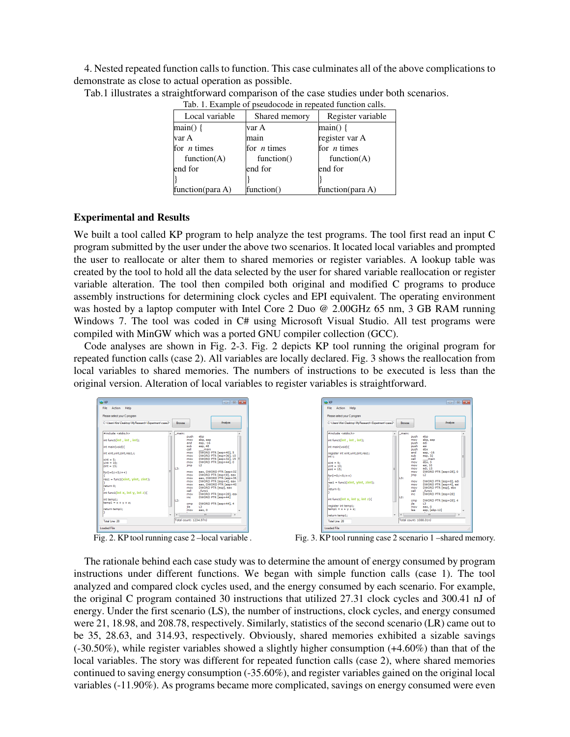4. Nested repeated function calls to function. This case culminates all of the above complications to demonstrate as close to actual operation as possible.

| Tab. 1. Example of pseudocode in repeated function calls. |               |                     |  |  |  |
|-----------------------------------------------------------|---------------|---------------------|--|--|--|
| Local variable                                            | Shared memory | Register variable   |  |  |  |
| $main() \{$                                               | var A         | $main() \{$         |  |  |  |
| var A                                                     | main          | register var A      |  |  |  |
| for $n$ times                                             | for $n$ times | for $n$ times       |  |  |  |
| function $(A)$                                            | function()    | function $(A)$      |  |  |  |
| end for                                                   | end for       | end for             |  |  |  |
|                                                           |               |                     |  |  |  |
| function(para $A$ )                                       | function()    | function(para $A$ ) |  |  |  |

Tab.1 illustrates a straightforward comparison of the case studies under both scenarios.

#### **Experimental and Results**

We built a tool called KP program to help analyze the test programs. The tool first read an input C program submitted by the user under the above two scenarios. It located local variables and prompted the user to reallocate or alter them to shared memories or register variables. A lookup table was created by the tool to hold all the data selected by the user for shared variable reallocation or register variable alteration. The tool then compiled both original and modified C programs to produce assembly instructions for determining clock cycles and EPI equivalent. The operating environment was hosted by a laptop computer with Intel Core 2 Duo @ 2.00GHz 65 nm, 3 GB RAM running Windows 7. The tool was coded in C# using Microsoft Visual Studio. All test programs were compiled with MinGW which was a ported GNU compiler collection (GCC).

Code analyses are shown in Fig. 2-3. Fig. 2 depicts KP tool running the original program for repeated function calls (case 2). All variables are locally declared. Fig. 3 shows the reallocation from local variables to shared memories. The numbers of instructions to be executed is less than the original version. Alteration of local variables to register variables is straightforward.



Fig. 2. KP tool running case 2-local variable.



Fig. 3. KP tool running case 2 scenario 1 –shared memory.

The rationale behind each case study was to determine the amount of energy consumed by program instructions under different functions. We began with simple function calls (case 1). The tool analyzed and compared clock cycles used, and the energy consumed by each scenario. For example, the original C program contained 30 instructions that utilized 27.31 clock cycles and 300.41 nJ of energy. Under the first scenario (LS), the number of instructions, clock cycles, and energy consumed were 21, 18.98, and 208.78, respectively. Similarly, statistics of the second scenario (LR) came out to be 35, 28.63, and 314.93, respectively. Obviously, shared memories exhibited a sizable savings (-30.50%), while register variables showed a slightly higher consumption (+4.60%) than that of the local variables. The story was different for repeated function calls (case 2), where shared memories continued to saving energy consumption (-35.60%), and register variables gained on the original local variables (-11.90%). As programs became more complicated, savings on energy consumed were even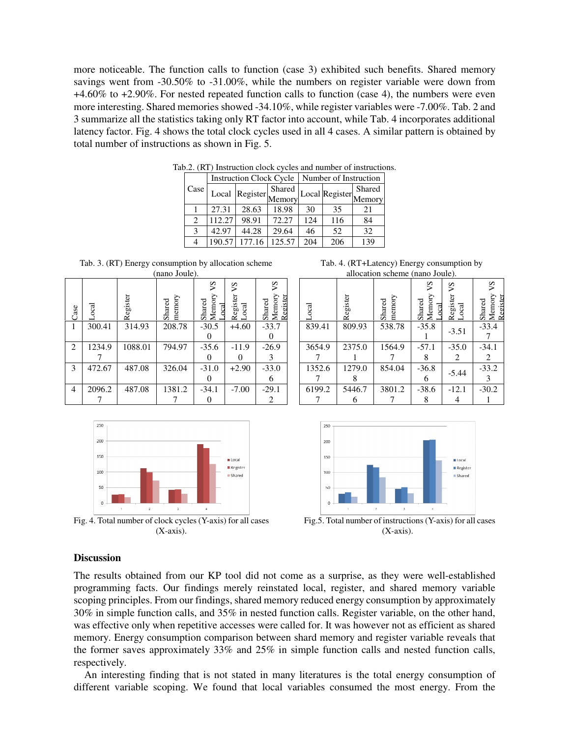more noticeable. The function calls to function (case 3) exhibited such benefits. Shared memory savings went from -30.50% to -31.00%, while the numbers on register variable were down from +4.60% to +2.90%. For nested repeated function calls to function (case 4), the numbers were even more interesting. Shared memories showed -34.10%, while register variables were -7.00%. Tab. 2 and 3 summarize all the statistics taking only RT factor into account, while Tab. 4 incorporates additional latency factor. Fig. 4 shows the total clock cycles used in all 4 cases. A similar pattern is obtained by total number of instructions as shown in Fig. 5.

|                             | <b>Instruction Clock Cycle</b> |                 |        | Number of Instruction |                |        |  |
|-----------------------------|--------------------------------|-----------------|--------|-----------------------|----------------|--------|--|
| Case                        | Local                          | Register Memory | Shared |                       | Local Register | Shared |  |
|                             |                                |                 |        |                       |                | Memory |  |
|                             | 27.31                          | 28.63           | 18.98  | 30                    | 35             | 21     |  |
| $\mathcal{D}_{\mathcal{L}}$ | 112.27                         | 98.91           | 72.27  | 124                   | 116            | 84     |  |
| 3                           | 42.97                          | 44.28           | 29.64  | 46                    | 52             | 32     |  |
|                             | 190.57                         | 177.16          | 125.57 | 204                   | 206            | 139    |  |

Tab.2. (RT) Instruction clock cycles and number of instructions.

Tab. 3. (RT) Energy consumption by allocation scheme (nano Joule).

| Case           | $_{\rm{ocal}}$ | Register | memory<br>Shared | 5 <sup>2</sup><br>Shared<br>Memory<br>ocal | νS<br>Register<br>Local | ΣΛ<br>Shared<br>Memory<br>Register |
|----------------|----------------|----------|------------------|--------------------------------------------|-------------------------|------------------------------------|
| 1              | 300.41         | 314.93   | 208.78           | $-30.5$                                    | $+4.60$                 | $-33.7$                            |
|                |                |          |                  |                                            |                         |                                    |
| $\overline{2}$ | 1234.9         | 1088.01  | 794.97           | $-35.6$                                    | $-11.9$                 | $-26.9$                            |
|                |                |          |                  |                                            |                         | 3                                  |
| 3              | 472.67         | 487.08   | 326.04           | $-31.0$                                    | $+2.90$                 | $-33.0$                            |
|                |                |          |                  |                                            |                         | h                                  |
| 4              | 2096.2         | 487.08   | 1381.2           | $-34.1$                                    | $-7.00$                 | $-29.1$                            |
|                |                |          |                  |                                            |                         | 2                                  |



Fig. 4. Total number of clock cycles (Y-axis) for all cases (X-axis).

Tab. 4. (RT+Latency) Energy consumption by allocation scheme (nano Joule).

| $_{\rm{ocal}}$ | Register | memory<br>Shared | ΣΛ<br>Shared<br>Memory<br><b>a</b> | Š<br>Register<br>Local | Š<br>Shared<br>Memory<br>Register |
|----------------|----------|------------------|------------------------------------|------------------------|-----------------------------------|
| 839.41         | 809.93   | 538.78           | $-35.8$                            | $-3.51$                | $-33.4$                           |
| 3654.9         | 2375.0   | 1564.9           | $-57.1$                            | $-35.0$                | $-34.1$                           |
|                |          |                  |                                    | 2                      | 2                                 |
| 1352.6         | 1279.0   | 854.04           | $-36.8$                            | $-5.44$                | $-33.2$                           |
|                |          |                  | 6                                  |                        | 3                                 |
| 6199.2         | 5446.7   | 3801.2           | $-38.6$                            | $-12.1$                | $-30.2$                           |
|                |          |                  |                                    |                        |                                   |



(X-axis).

# **Discussion**

The results obtained from our KP tool did not come as a surprise, as they were well-established programming facts. Our findings merely reinstated local, register, and shared memory variable scoping principles. From our findings, shared memory reduced energy consumption by approximately 30% in simple function calls, and 35% in nested function calls. Register variable, on the other hand, was effective only when repetitive accesses were called for. It was however not as efficient as shared memory. Energy consumption comparison between shard memory and register variable reveals that the former saves approximately 33% and 25% in simple function calls and nested function calls, respectively.

An interesting finding that is not stated in many literatures is the total energy consumption of different variable scoping. We found that local variables consumed the most energy. From the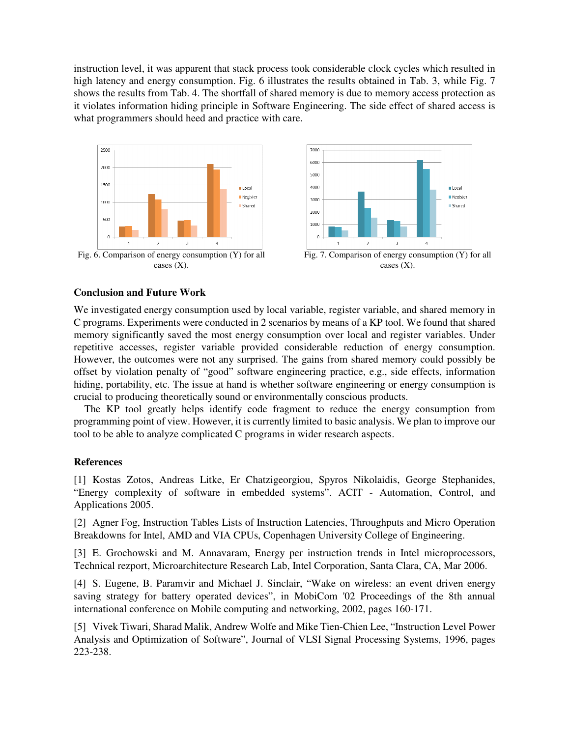instruction level, it was apparent that stack process took considerable clock cycles which resulted in high latency and energy consumption. Fig. 6 illustrates the results obtained in Tab. 3, while Fig. 7 shows the results from Tab. 4. The shortfall of shared memory is due to memory access protection as it violates information hiding principle in Software Engineering. The side effect of shared access is what programmers should heed and practice with care.



Fig. 6. Comparison of energy consumption (Y) for all cases  $(X)$ .



Fig. 7. Comparison of energy consumption (Y) for all cases  $(X)$ .

# **Conclusion and Future Work**

We investigated energy consumption used by local variable, register variable, and shared memory in C programs. Experiments were conducted in 2 scenarios by means of a KP tool. We found that shared memory significantly saved the most energy consumption over local and register variables. Under repetitive accesses, register variable provided considerable reduction of energy consumption. However, the outcomes were not any surprised. The gains from shared memory could possibly be offset by violation penalty of "good" software engineering practice, e.g., side effects, information hiding, portability, etc. The issue at hand is whether software engineering or energy consumption is crucial to producing theoretically sound or environmentally conscious products.

The KP tool greatly helps identify code fragment to reduce the energy consumption from programming point of view. However, it is currently limited to basic analysis. We plan to improve our tool to be able to analyze complicated C programs in wider research aspects.

# **References**

[1] Kostas Zotos, Andreas Litke, Er Chatzigeorgiou, Spyros Nikolaidis, George Stephanides, "Energy complexity of software in embedded systems". ACIT - Automation, Control, and Applications 2005.

[2] Agner Fog, Instruction Tables Lists of Instruction Latencies, Throughputs and Micro Operation Breakdowns for Intel, AMD and VIA CPUs, Copenhagen University College of Engineering.

[3] E. Grochowski and M. Annavaram, Energy per instruction trends in Intel microprocessors, Technical rezport, Microarchitecture Research Lab, Intel Corporation, Santa Clara, CA, Mar 2006.

[4] S. Eugene, B. Paramvir and Michael J. Sinclair, "Wake on wireless: an event driven energy saving strategy for battery operated devices", in MobiCom '02 Proceedings of the 8th annual international conference on Mobile computing and networking, 2002, pages 160-171.

[5] Vivek Tiwari, Sharad Malik, Andrew Wolfe and Mike Tien-Chien Lee, "Instruction Level Power Analysis and Optimization of Software", Journal of VLSI Signal Processing Systems, 1996, pages 223-238.